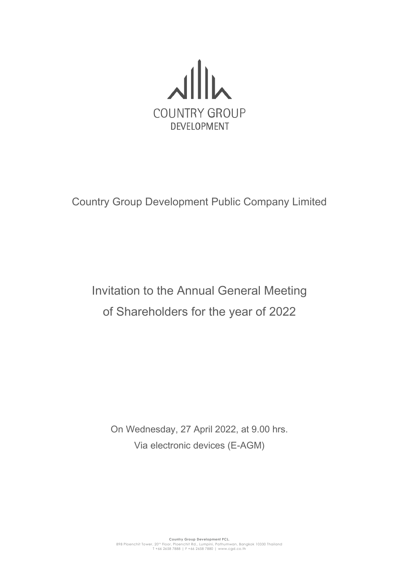

Country Group Development Public Company Limited

Invitation to the Annual General Meeting of Shareholders for the year of 2022

On Wednesday, 27 April 2022, at 9.00 hrs. Via electronic devices (E-AGM)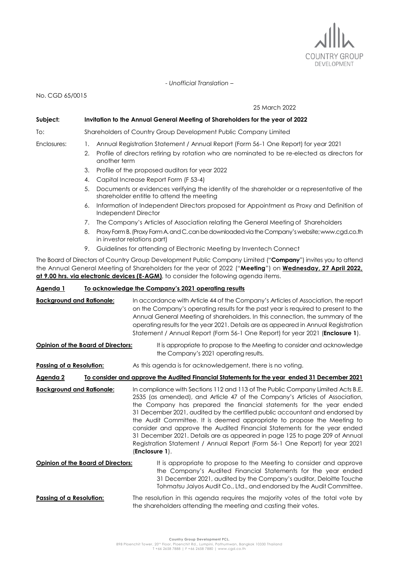

*- Unofficial Translation –*

No. CGD 65/0015

25 March 2022

#### **Subject: Invitation to the Annual General Meeting of Shareholders for the year of 2022**

To: Shareholders of Country Group Development Public Company Limited

- Enclosures: 1. Annual Registration Statement / Annual Report (Form 56-1 One Report) for year 2021
	- 2. Profile of directors retiring by rotation who are nominated to be re-elected as directors for another term
	- 3. Profile of the proposed auditors for year 2022
	- 4. Capital Increase Report Form (F 53-4)
	- 5. Documents or evidences verifying the identity of the shareholder or a representative of the shareholder entitle to attend the meeting
	- 6. Information of Independent Directors proposed for Appointment as Proxy and Definition of Independent Director
	- 7. The Company's Articles of Association relating the General Meeting of Shareholders
	- 8. Proxy Form B. (Proxy Form A.and C.can be downloaded via the Company's website; www.cgd.co.th in investor relations part)
	- 9. Guidelines for attending of Electronic Meeting by Inventech Connect

The Board of Directors of Country Group Development Public Company Limited ("**Company**") invites you to attend the Annual General Meeting of Shareholders for the year of 2022 ("**Meeting**") on **Wednesday, 27 April 2022, at 9.00 hrs. via electronic devices (E-AGM)**, to consider the following agenda items.

### **Agenda 1 To acknowledge the Company's 2021 operating results**

| <b>Background and Rationale:</b>                                                                         | In accordance with Article 44 of the Company's Articles of Association, the report<br>on the Company's operating results for the past year is required to present to the<br>Annual General Meeting of shareholders. In this connection, the summary of the<br>operating results for the year 2021. Details are as appeared in Annual Registration<br>Statement / Annual Report (Form 56-1 One Report) for year 2021 (Enclosure 1).<br>It is appropriate to propose to the Meeting to consider and acknowledge<br>the Company's 2021 operating results.                                                                                                        |  |  |
|----------------------------------------------------------------------------------------------------------|---------------------------------------------------------------------------------------------------------------------------------------------------------------------------------------------------------------------------------------------------------------------------------------------------------------------------------------------------------------------------------------------------------------------------------------------------------------------------------------------------------------------------------------------------------------------------------------------------------------------------------------------------------------|--|--|
| Opinion of the Board of Directors:                                                                       |                                                                                                                                                                                                                                                                                                                                                                                                                                                                                                                                                                                                                                                               |  |  |
| Passing of a Resolution:                                                                                 | As this agenda is for acknowledgement, there is no voting.                                                                                                                                                                                                                                                                                                                                                                                                                                                                                                                                                                                                    |  |  |
| To consider and approve the Audited Financial Statements for the year ended 31 December 2021<br>Agenda 2 |                                                                                                                                                                                                                                                                                                                                                                                                                                                                                                                                                                                                                                                               |  |  |
| <b>Background and Rationale:</b>                                                                         | In compliance with Sections 112 and 113 of The Public Company Limited Acts B.E.<br>2535 (as amended), and Article 47 of the Company's Articles of Association,<br>the Company has prepared the financial statements for the year ended<br>31 December 2021, audited by the certified public accountant and endorsed by<br>the Audit Committee. It is deemed appropriate to propose the Meeting to<br>consider and approve the Audited Financial Statements for the year ended<br>31 December 2021. Details are as appeared in page 125 to page 209 of Annual<br>Registration Statement / Annual Report (Form 56-1 One Report) for year 2021<br>(Enclosure 1). |  |  |
| Opinion of the Board of Directors:                                                                       | It is appropriate to propose to the Meeting to consider and approve<br>the Company's Audited Financial Statements for the year ended<br>31 December 2021, audited by the Company's auditor, Deloitte Touche<br>Tohmatsu Jaiyos Audit Co., Ltd., and endorsed by the Audit Committee.                                                                                                                                                                                                                                                                                                                                                                          |  |  |
| Passing of a Resolution:                                                                                 | The resolution in this agenda requires the majority votes of the total vote by<br>the shareholders attending the meeting and casting their votes.                                                                                                                                                                                                                                                                                                                                                                                                                                                                                                             |  |  |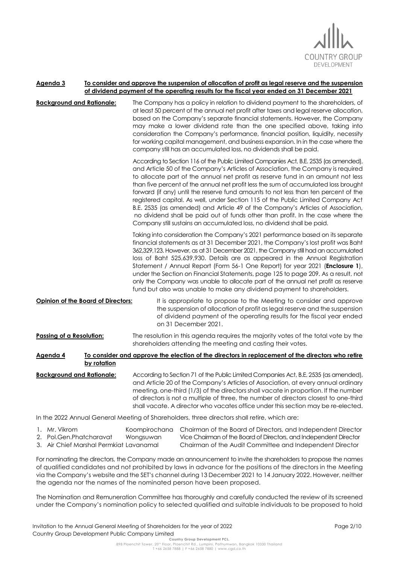

#### **Agenda 3 To consider and approve the suspension of allocation of profit as legal reserve and the suspension of dividend payment of the operating results for the fiscal year ended on 31 December 2021**

**Background and Rationale:** The Company has a policy in relation to dividend payment to the shareholders, of at least 50 percent of the annual net profit after taxes and legal reserve allocation, based on the Company's separate financial statements. However, the Company may make a lower dividend rate than the one specified above, taking into consideration the Company's performance, financial position, liquidity, necessity for working capital management, and business expansion. In in the case where the company still has an accumulated loss, no dividends shall be paid.

> According to Section 116 of the Public Limited Companies Act, B.E. 2535 (as amended), and Article 50 of the Company's Articles of Association, the Company is required to allocate part of the annual net profit as reserve fund in an amount not less than five percent of the annual net profit less the sum of accumulated loss brought forward (if any) until the reserve fund amounts to not less than ten percent of the registered capital. As well, under Section 115 of the Public Limited Company Act B.E. 2535 (as amended) and Article 49 of the Company's Articles of Association, no dividend shall be paid out of funds other than profit. In the case where the Company still sustains an accumulated loss, no dividend shall be paid.

> Taking into consideration the Company's 2021 performance based on its separate financial statements as at 31 December 2021, the Company's lost profit was Baht 362,329,123. However, as at 31 December 2021, the Company still had an accumulated loss of Baht 525,639,930. Details are as appeared in the Annual Registration Statement / Annual Report (Form 56-1 One Report) for year 2021 (**Enclosure 1**), under the Section on Financial Statements, page 125 to page 209. As a result, not only the Company was unable to allocate part of the annual net profit as reserve fund but also was unable to make any dividend payment to shareholders.

**Opinion of the Board of Directors:** It is appropriate to propose to the Meeting to consider and approve the suspension of allocation of profit as legal reserve and the suspension of dividend payment of the operating results for the fiscal year ended on 31 December 2021.

**Passing of a Resolution:** The resolution in this agenda requires the majority votes of the total vote by the shareholders attending the meeting and casting their votes.

## **Agenda 4 To consider and approve the election of the directors in replacement of the directors who retire by rotation**

**Background and Rationale:** According to Section 71 of the Public Limited Companies Act, B.E. 2535 (as amended), and Article 20 of the Company's Articles of Association, at every annual ordinary meeting, one-third (1/3) of the directors shall vacate in proportion. If the number of directors is not a multiple of three, the number of directors closest to one-third shall vacate. A director who vacates office under this section may be re-elected.

In the 2022 Annual General Meeting of Shareholders, three directors shall retire, which are:

| . Mr. Vikrom                            |           | Koompirochana Chairman of the Board of Directors, and Independent Director |
|-----------------------------------------|-----------|----------------------------------------------------------------------------|
| 2. Pol.Gen.Phatcharavat                 | Wongsuwan | Vice Chairman of the Board of Directors, and Independent Director          |
| 3. Air Chief Marshal Permkiat Lavanamal |           | Chairman of the Audit Committee and Independent Director                   |

For nominating the directors, the Company made an announcement to invite the shareholders to propose the names of qualified candidates and not prohibited by laws in advance for the positions of the directors in the Meeting via the Company's website and the SET's channel during 13 December 2021 to 14 January 2022. However, neither the agenda nor the names of the nominated person have been proposed.

The Nomination and Remuneration Committee has thoroughly and carefully conducted the review of its screened under the Company's nomination policy to selected qualified and suitable individuals to be proposed to hold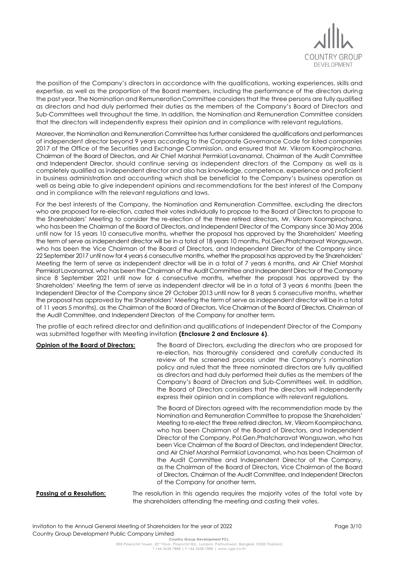

the position of the Company's directors in accordance with the qualifications, working experiences, skills and expertise, as well as the proportion of the Board members, including the performance of the directors during the past year. The Nomination and Remuneration Committee considers that the three persons are fully qualified as directors and had duly performed their duties as the members of the Company's Board of Directors and Sub-Committees well throughout the time. In addition, the Nomination and Remuneration Committee considers that the directors will independently express their opinion and in compliance with relevant regulations.

Moreover, the Nomination and Remuneration Committee has further considered the qualifications and performances of independent director beyond 9 years according to the Corporate Governance Code for listed companies 2017 of the Office of the Securities and Exchange Commission, and ensured that Mr. Vikrom Koompirochana, Chairman of the Board of Directors, and Air Chief Marshal Permkiat Lavanamal, Chairman of the Audit Committee and Independent Director, should continue serving as independent directors of the Company as well as is completely qualified as independent director and also has knowledge, competence, experience and proficient in business administration and accounting which shall be beneficial to the Company's business operation as well as being able to give independent opinions and recommendations for the best interest of the Company and in compliance with the relevant regulations and laws.

For the best interests of the Company, the Nomination and Remuneration Committee, excluding the directors who are proposed for re-election, casted their votes individually to propose to the Board of Directors to propose to the Shareholders' Meeting to consider the re-election of the three retired directors, Mr. Vikrom Koompirochana, who has been the Chairman of the Board of Directors, and Independent Director of the Company since 30 May 2006 until now for 15 years 10 consecutive months, whether the proposal has approved by the Shareholders' Meeting the term of serve as independent director will be in a total of 18 years 10 months, Pol.Gen.Phatcharavat Wongsuwan, who has been the Vice Chairman of the Board of Directors, and Independent Director of the Company since 22 September 2017 until now for 4 years 6 consecutive months, whether the proposal has approved by the Shareholders' Meeting the term of serve as independent director will be in a total of 7 years 6 months, and Air Chief Marshal PermkiatLavanamal, who has been the Chairman of the Audit Committee and Independent Director of the Company since 8 September 2021 until now for 6 consecutive months, whether the proposal has approved by the Shareholders' Meeting the term of serve as independent director will be in a total of 3 years 6 months (been the Independent Director of the Company since 29 October 2013 until now for 8 years 5 consecutive months, whether the proposal has approved by the Shareholders' Meeting the term of serve as independent director will be in a total of 11 years 5 months), as the Chairman of the Board of Directors, Vice Chairman of the Board of Directors, Chairman of the Audit Committee, and Independent Directors of the Company for another term.

The profile of each retired director and definition and qualifications of Independent Director of the Company was submitted together with Meeting invitation **(Enclosure 2 and Enclosure 6)**.

**Opinion of the Board of Directors:** The Board of Directors, excluding the directors who are proposed for re-election, has thoroughly considered and carefully conducted its review of the screened process under the Company's nomination policy and ruled that the three nominated directors are fully qualified as directors and had duly performed their duties as the members of the Company's Board of Directors and Sub-Committees well. In addition, the Board of Directors considers that the directors will independently express their opinion and in compliance with relevant regulations.

> The Board of Directors agreed with the recommendation made by the Nomination and Remuneration Committee to propose the Shareholders' Meeting to re-elect the three retired directors, Mr. Vikrom Koompirochana, who has been Chairman of the Board of Directors, and Independent Director of the Company, Pol.Gen.Phatcharavat Wongsuwan, who has been Vice Chairman of the Board of Directors, and Independent Director, and Air Chief Marshal Permkiat Lavanamal, who has been Chairman of the Audit Committee and Independent Director of the Company, as the Chairman of the Board of Directors, Vice Chairman of the Board of Directors, Chairman of the Audit Committee, and Independent Directors of the Company for another term.

**Passing of a Resolution:** The resolution in this agenda requires the majority votes of the total vote by the shareholders attending the meeting and casting their votes.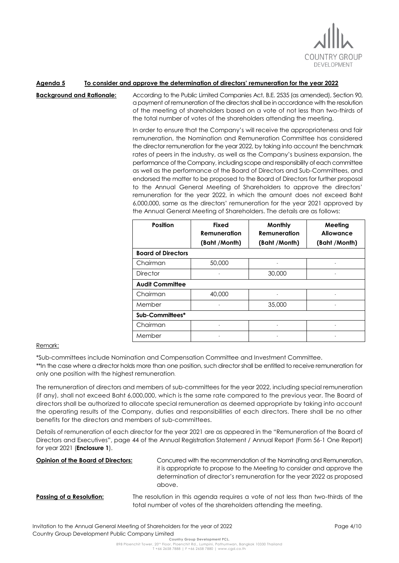

## **Agenda 5 To consider and approve the determination of directors' remuneration for the year 2022**

**Background and Rationale:** According to the Public Limited Companies Act, B.E. 2535 (as amended), Section 90,

a payment of remuneration of the directors shall be in accordance with the resolution of the meeting of shareholders based on a vote of not less than two-thirds of the total number of votes of the shareholders attending the meeting.

In order to ensure that the Company's will receive the appropriateness and fair remuneration, the Nomination and Remuneration Committee has considered the director remuneration for the year 2022, by taking into account the benchmark rates of peers in the industry, as well as the Company's business expansion, the performance of the Company, including scope and responsibility of each committee as well as the performance of the Board of Directors and Sub-Committees, and endorsed the matter to be proposed to the Board of Directors for further proposal to the Annual General Meeting of Shareholders to approve the directors' remuneration for the year 2022, in which the amount does not exceed Baht 6,000,000, same as the directors' remuneration for the year 2021 approved by the Annual General Meeting of Shareholders. The details are as follows:

| <b>Position</b>           | <b>Fixed</b><br>Remuneration | Monthly<br>Remuneration | Meeting<br>Allowance |  |
|---------------------------|------------------------------|-------------------------|----------------------|--|
|                           | (Baht /Month)                | (Baht /Month)           | (Baht /Month)        |  |
| <b>Board of Directors</b> |                              |                         |                      |  |
| Chairman                  | 50,000                       |                         |                      |  |
| <b>Director</b>           |                              | 30,000                  |                      |  |
| <b>Audit Committee</b>    |                              |                         |                      |  |
| Chairman                  | 40,000                       |                         |                      |  |
| Member                    |                              | 35,000                  |                      |  |
| Sub-Committees*           |                              |                         |                      |  |
| Chairman                  |                              |                         |                      |  |
| Member                    |                              |                         |                      |  |

### Remark:

\*Sub-committees include Nomination and Compensation Committee and Investment Committee.

\*\*In the case where a director holds more than one position, such director shall be entitled to receive remuneration for only one position with the highest remuneration.

The remuneration of directors and members of sub-committees for the year 2022, including special remuneration (if any), shall not exceed Baht 6,000,000, which is the same rate compared to the previous year. The Board of directors shall be authorized to allocate special remuneration as deemed appropriate by taking into account the operating results of the Company, duties and responsibilities of each directors. There shall be no other benefits for the directors and members of sub-committees.

Details of remuneration of each director for the year 2021 are as appeared in the "Remuneration of the Board of Directors and Executives", page 44 of the Annual Registration Statement / Annual Report (Form 56-1 One Report) for year 2021 (**Enclosure 1**).

**Opinion of the Board of Directors:** Concurred with the recommendation of the Nominating and Remuneration, it is appropriate to propose to the Meeting to consider and approve the determination of director's remuneration for the year 2022 as proposed above.

## **Passing of a Resolution:** The resolution in this agenda requires a vote of not less than two-thirds of the total number of votes of the shareholders attending the meeting.

Invitation to the Annual General Meeting of Shareholders for the year of 2022 Country Group Development Public Company Limited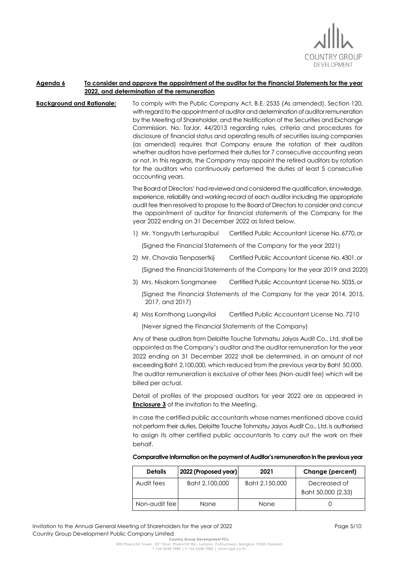

## **Agenda 6 To consider and approve the appointment of the auditor for the Financial Statements for the year 2022, and determination of the remuneration**

**Background and Rationale:** To comply with the Public Company Act, B.E. 2535 (As amended), Section 120, with regard to the appointment of auditor and determination of auditor remuneration by the Meeting of Shareholder, and the Notification of the Securities and Exchange Commission. No. TorJor. 44/2013 regarding rules, criteria and procedures for disclosure of financial status and operating results of securities issuing companies (as amended) requires that Company ensure the rotation of their auditors whether auditors have performed their duties for 7 consecutive accounting years or not. In this regards, the Company may appoint the retired auditors by rotation for the auditors who continuously performed the duties at least 5 consecutive accounting years.

> The Board of Directors' had reviewed and considered the qualification, knowledge, experience, reliability and working record of each auditor including the appropriate audit fee then resolved to propose to the Board of Directors to consider and concur the appointment of auditor for financial statements of the Company for the year 2022 ending on 31 December 2022 as listed below,

- 1) Mr. Yongyuth Lertsurapibul Certified Public Accountant License No.6770,or (Signed the Financial Statements of the Company for the year 2021)
- 2) Mr. Chavala Tienpasertkij Certified Public Accountant License No.4301,or

(Signed the Financial Statements of the Company for the year 2019 and 2020)

- 3) Mrs. Nisakorn Songmanee Certified Public Accountant License No.5035,or (Signed the Financial Statements of the Company for the year 2014, 2015,
- 4) Miss Kornthong Luangvilai Certified Public Accountant License No. 7210

(Never signed the Financial Statements of the Company)

2017, and 2017)

Any of these auditors from Deloitte Touche Tohmatsu Jaiyos Audit Co., Ltd. shall be appointed as the Company's auditor and the auditor remuneration for the year 2022 ending on 31 December 2022 shall be determined, in an amount of not exceeding Baht 2,100,000, which reduced from the previous yearby Baht 50,000. The auditor remuneration is exclusive of other fees (Non-audit fee) which will be billed per actual.

Detail of profiles of the proposed auditors for year 2022 are as appeared in **Enclosure 3** of the invitation to the Meeting.

In case the certified public accountants whose names mentioned above could not perform their duties, Deloitte Touche Tohmatsu Jaiyos Audit Co., Ltd. is authorised to assign its other certified public accountants to carry out the work on their behalf.

| <b>Details</b> | 2022 (Proposed year) | 2021           | Change (percent)                   |
|----------------|----------------------|----------------|------------------------------------|
| Audit fees     | Baht 2,100,000       | Baht 2,150,000 | Decreased of<br>Baht 50,000 (2.33) |
| Non-audit feel | None                 | None           |                                    |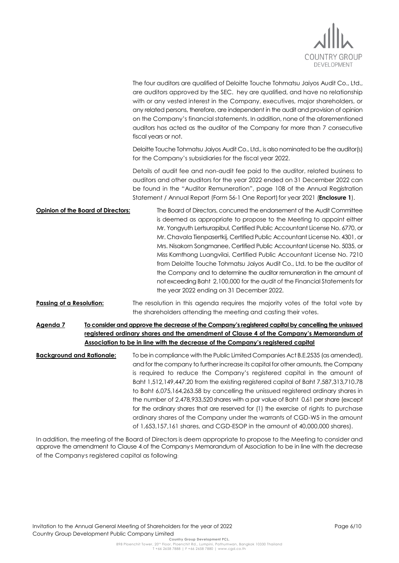

| The four auditors are qualified of Deloitte Touche Tohmatsu Jaiyos Audit Co., Ltd.,<br>are auditors approved by the SEC. hey are qualified, and have no relationship<br>with or any vested interest in the Company, executives, major shareholders, or<br>any related persons, therefore, are independent in the audit and provision of opinion<br>on the Company's financial statements. In addition, none of the aforementioned<br>auditors has acted as the auditor of the Company for more than 7 consecutive<br>fiscal years or not.                                                                                                                                                                                                                                                       |
|-------------------------------------------------------------------------------------------------------------------------------------------------------------------------------------------------------------------------------------------------------------------------------------------------------------------------------------------------------------------------------------------------------------------------------------------------------------------------------------------------------------------------------------------------------------------------------------------------------------------------------------------------------------------------------------------------------------------------------------------------------------------------------------------------|
| Deloitte Touche Tohmatsu Jaiyos Audit Co., Ltd., is also nominated to be the auditor(s)<br>for the Company's subsidiaries for the fiscal year 2022.                                                                                                                                                                                                                                                                                                                                                                                                                                                                                                                                                                                                                                             |
| Details of audit fee and non-audit fee paid to the auditor, related business to<br>auditors and other auditors for the year 2022 ended on 31 December 2022 can<br>be found in the "Auditor Remuneration", page 108 of the Annual Registration<br>Statement / Annual Report (Form 56-1 One Report) for year 2021 (Enclosure 1).                                                                                                                                                                                                                                                                                                                                                                                                                                                                  |
| Opinion of the Board of Directors:<br>The Board of Directors, concurred the endorsement of the Audit Committee<br>is deemed as appropriate to propose to the Meeting to appoint either<br>Mr. Yongyuth Lertsurapibul, Certified Public Accountant License No. 6770, or<br>Mr. Chavala Tienpasertkij, Certified Public Accountant License No. 4301, or<br>Mrs. Nisakorn Songmanee, Certified Public Accountant License No. 5035, or<br>Miss Kornthong Luangvilai, Certified Public Accountant License No. 7210<br>from Deloitte Touche Tohmatsu Jaiyos Audit Co., Ltd. to be the auditor of<br>the Company and to determine the auditor remuneration in the amount of<br>not exceeding Baht 2,100,000 for the audit of the Financial Statements for<br>the year 2022 ending on 31 December 2022. |
| The resolution in this agenda requires the majority votes of the total vote by<br>the shareholders attending the meeting and casting their votes.                                                                                                                                                                                                                                                                                                                                                                                                                                                                                                                                                                                                                                               |
| To consider and approve the decrease of the Company's registered capital by cancelling the unissued<br>registered ordinary shares and the amendment of Clause 4 of the Company's Memorandum of<br>Association to be in line with the decrease of the Company's registered capital                                                                                                                                                                                                                                                                                                                                                                                                                                                                                                               |
| To be in compliance with the Public Limited Companies Act B.E.2535 (as amended),<br>and for the company to further increase its capital for other amounts, the Company<br>is required to reduce the Company's registered capital in the amount of<br>Baht 1,512,149,447.20 from the existing registered capital of Baht 7,587,313,710.78<br>to Baht 6,075,164,263.58 by cancelling the unissued registered ordinary shares in<br>the number of 2,478,933,520 shares with a par value of Baht 0.61 per share (except<br>for the ordinary shares that are reserved for (1) the exercise of rights to purchase<br>ordinary shares of the Company under the warrants of CGD-W5 in the amount<br>of 1,653,157,161 shares, and CGD-ESOP in the amount of 40,000,000 shares).                          |
|                                                                                                                                                                                                                                                                                                                                                                                                                                                                                                                                                                                                                                                                                                                                                                                                 |

In addition, the meeting of the Board of Directors is deem appropriate to propose to the Meeting to consider and approve the amendment to Clause 4.of the Company's Memorandum of Association to be in line with the decrease of the Company's registered capital as following: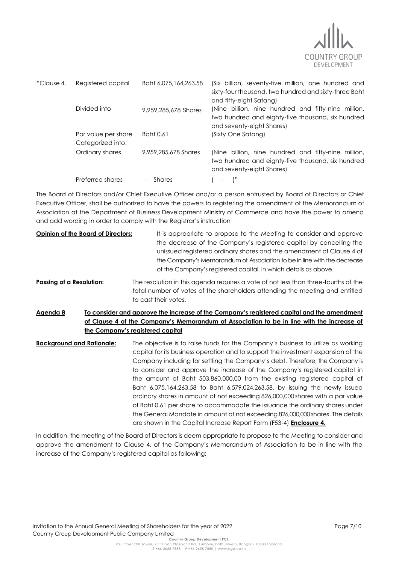

| "Clause 4. | Registered capital                       | Baht 6,075,164,263.58 | (Six billion, seventy-five million, one hundred and<br>sixty-four thousand, two hundred and sixty-three Baht<br>and fifty-eight Satang) |
|------------|------------------------------------------|-----------------------|-----------------------------------------------------------------------------------------------------------------------------------------|
|            | Divided into                             | 9,959,285,678 Shares  | (Nine billion, nine hundred and fifty-nine million,<br>two hundred and eighty-five thousand, six hundred<br>and seventy-eight Shares)   |
|            | Par value per share<br>Categorized into: | Baht 0.61             | (Sixty One Satang)                                                                                                                      |
|            | Ordinary shares                          | 9,959,285,678 Shares  | (Nine billion, nine hundred and fifty-nine million,<br>two hundred and eighty-five thousand, six hundred<br>and seventy-eight Shares)   |
|            | Preferred shares                         | Shares                | $\overline{\phantom{a}}$                                                                                                                |

The Board of Directors and/or Chief Executive Officer and/or a person entrusted by Board of Directors or Chief Executive Officer, shall be authorized to have the powers to registering the amendment of the Memorandum of Association at the Department of Business Development Ministry of Commerce and have the power to amend and add wording in order to comply with the Registrar's instruction

- **Opinion of the Board of Directors:** It is appropriate to propose to the Meeting to consider and approve the decrease of the Company's registered capital by cancelling the unissued registered ordinary shares and the amendment of Clause 4 of the Company's Memorandum of Association to be in line with the decrease of the Company's registered capital, in which details as above.
- **Passing of a Resolution:** The resolution in this agenda requires a vote of not less than three-fourths of the total number of votes of the shareholders attending the meeting and entitled to cast their votes.
- **Agenda 8 To consider and approve the increase of the Company's registered capital and the amendment of Clause 4 of the Company's Memorandum of Association to be in line with the increase of the Company's registered capital**
- **Background and Rationale:** The objective is to raise funds for the Company's business to utilize as working capital for its business operation and to support the investment expansion of the Company including for settling the Company's debt. Therefore, the Company is to consider and approve the increase of the Company's registered capital in the amount of Baht 503,860,000.00 from the existing registered capital of Baht 6,075,164,263.58 to Baht 6,579,024,263.58, by issuing the newly issued ordinary shares in amount of not exceeding 826,000,000 shares with a par value of Baht 0.61 per share to accommodate the issuance the ordinary shares under the General Mandate in amount of not exceeding 826,000,000 shares. The details are shown in the Capital Increase Report Form (F53-4) **Enclosure 4.**

In addition, the meeting of the Board of Directors is deem appropriate to propose to the Meeting to consider and approve the amendment to Clause 4. of the Company's Memorandum of Association to be in line with the increase of the Company's registered capital as following: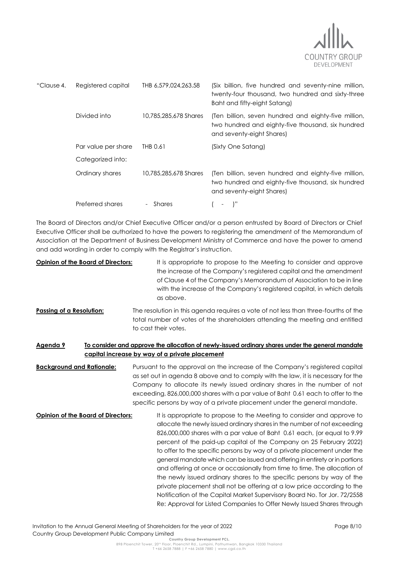

| "Clause 4. | Registered capital  | THB 6,579,024,263.58  | (Six billion, five hundred and seventy-nine million,<br>twenty-four thousand, two hundred and sixty-three<br>Baht and fifty-eight Satang) |
|------------|---------------------|-----------------------|-------------------------------------------------------------------------------------------------------------------------------------------|
|            | Divided into        | 10.785.285.678 Shares | (Ten billion, seven hundred and eighty-five million,<br>two hundred and eighty-five thousand, six hundred<br>and seventy-eight Shares)    |
|            | Par value per share | THB 0.61              | (Sixty One Satang)                                                                                                                        |
|            | Categorized into:   |                       |                                                                                                                                           |
|            | Ordinary shares     | 10.785.285.678 Shares | (Ten billion, seven hundred and eighty-five million,<br>two hundred and eighty-five thousand, six hundred<br>and seventy-eight Shares)    |
|            | Preferred shares    | Shares                |                                                                                                                                           |

The Board of Directors and/or Chief Executive Officer and/or a person entrusted by Board of Directors or Chief Executive Officer shall be authorized to have the powers to registering the amendment of the Memorandum of Association at the Department of Business Development Ministry of Commerce and have the power to amend and add wording in order to comply with the Registrar's instruction.

- **Opinion of the Board of Directors:** It is appropriate to propose to the Meeting to consider and approve the increase of the Company's registered capital and the amendment of Clause 4 of the Company's Memorandum of Association to be in line with the increase of the Company's registered capital, in which details as above.
- **Passing of a Resolution:** The resolution in this agenda requires a vote of not less than three-fourths of the total number of votes of the shareholders attending the meeting and entitled to cast their votes.

# **Agenda 9 To consider and approve the allocation of newly-issued ordinary shares under the general mandate capital increase by way of a private placement**

**Background and Rationale:** Pursuant to the approval on the increase of the Company's registered capital as set out in agenda 8 above and to comply with the law, it is necessary for the Company to allocate its newly issued ordinary shares in the number of not exceeding, 826,000,000 shares with a par value of Baht 0.61 each to offer to the specific persons by way of a private placement under the general mandate.

**Opinion of the Board of Directors:** It is appropriate to propose to the Meeting to consider and approve to allocate the newly issued ordinary shares in the number of not exceeding 826,000,000 shares with a par value of Baht 0.61 each, (or equal to 9.99 percent of the paid-up capital of the Company on 25 February 2022) to offer to the specific persons by way of a private placement under the general mandate which can be issued and offering in entirety or in portions and offering at once or occasionally from time to time. The allocation of the newly issued ordinary shares to the specific persons by way of the private placement shall not be offering at a low price according to the Notification of the Capital Market Supervisory Board No. Tor Jor. 72/2558 Re: Approval for Listed Companies to Offer Newly Issued Shares through

Invitation to the Annual General Meeting of Shareholders for the year of 2022 Country Group Development Public Company Limited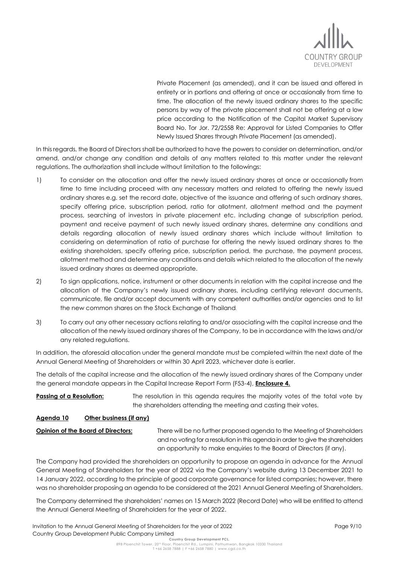

Private Placement (as amended), and it can be issued and offered in entirety or in portions and offering at once or occasionally from time to time. The allocation of the newly issued ordinary shares to the specific persons by way of the private placement shall not be offering at a low price according to the Notification of the Capital Market Supervisory Board No. Tor Jor. 72/2558 Re: Approval for Listed Companies to Offer Newly Issued Shares through Private Placement (as amended).

In this regards, the Board of Directors shall be authorized to have the powers to consider on determination, and/or amend, and/or change any condition and details of any matters related to this matter under the relevant regulations. The authorization shall include without limitation to the followings:

- 1) To consider on the allocation and offer the newly issued ordinary shares at once or occasionally from time to time including proceed with any necessary matters and related to offering the newly issued ordinary shares e.g. set the record date, objective of the issuance and offering of such ordinary shares, specify offering price, subscription period, ratio for allotment, allotment method and the payment process, searching of investors in private placement etc. including change of subscription period, payment and receive payment of such newly issued ordinary shares, determine any conditions and details regarding allocation of newly issued ordinary shares which include without limitation to considering on determination of ratio of purchase for offering the newly issued ordinary shares to the existing shareholders, specify offering price, subscription period, the purchase, the payment process, allotment method and determine any conditions and details which related to the allocation of the newly issued ordinary shares as deemed appropriate.
- 2) To sign applications, notice, instrument or other documents in relation with the capital increase and the allocation of the Company's newly issued ordinary shares, including certifying relevant documents, communicate, file and/or accept documents with any competent authorities and/or agencies and to list the new common shares on the Stock Exchange of Thailand.
- 3) To carry out any other necessary actions relating to and/or associating with the capital increase and the allocation of the newly issued ordinary shares of the Company, to be in accordance with the laws and/or any related regulations.

In addition, the aforesaid allocation under the general mandate must be completed within the next date of the Annual General Meeting of Shareholders or within 30 April 2023, whichever date is earlier.

The details of the capital increase and the allocation of the newly issued ordinary shares of the Company under the general mandate appears in the Capital Increase Report Form (F53-4), **Enclosure 4.**

**Passing of a Resolution:** The resolution in this agenda requires the majority votes of the total vote by the shareholders attending the meeting and casting their votes.

# **Agenda 10 Other business (if any)**

**Opinion of the Board of Directors:** There will be no further proposed agenda to the Meeting of Shareholders and no voting for a resolution in this agenda in order to give the shareholders an opportunity to make enquiries to the Board of Directors (if any).

The Company had provided the shareholders an opportunity to propose an agenda in advance for the Annual General Meeting of Shareholders for the year of 2022 via the Company's website during 13 December 2021 to 14 January 2022, according to the principle of good corporate governance for listed companies; however, there was no shareholder proposing an agenda to be considered at the 2021 Annual General Meeting of Shareholders.

The Company determined the shareholders' names on 15 March 2022 (Record Date) who will be entitled to attend the Annual General Meeting of Shareholders for the year of 2022.

Invitation to the Annual General Meeting of Shareholders for the year of 2022 Country Group Development Public Company Limited